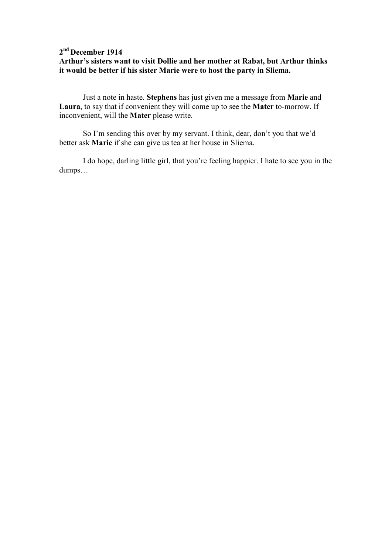### **2 nd December 1914 Arthur's sisters want to visit Dollie and her mother at Rabat, but Arthur thinks it would be better if his sister Marie were to host the party in Sliema.**

 Just a note in haste. **Stephens** has just given me a message from **Marie** and **Laura**, to say that if convenient they will come up to see the **Mater** to-morrow. If inconvenient, will the **Mater** please write.

 So I'm sending this over by my servant. I think, dear, don't you that we'd better ask **Marie** if she can give us tea at her house in Sliema.

 I do hope, darling little girl, that you're feeling happier. I hate to see you in the dumps…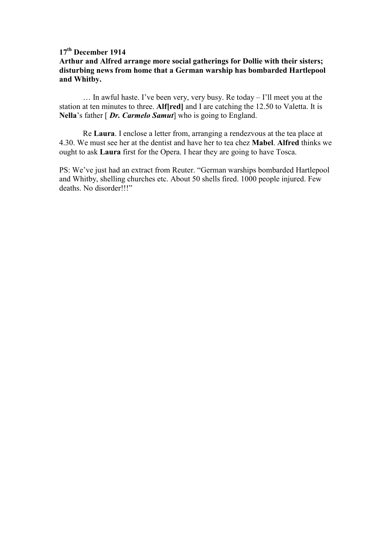# **17th December 1914**

## **Arthur and Alfred arrange more social gatherings for Dollie with their sisters; disturbing news from home that a German warship has bombarded Hartlepool and Whitby.**

… In awful haste. I've been very, very busy. Re today – I'll meet you at the station at ten minutes to three. **Alf[red]** and I are catching the 12.50 to Valetta. It is **Nella**'s father [ *Dr. Carmelo Samut*] who is going to England.

Re **Laura**. I enclose a letter from, arranging a rendezvous at the tea place at 4.30. We must see her at the dentist and have her to tea chez **Mabel**. **Alfred** thinks we ought to ask **Laura** first for the Opera. I hear they are going to have Tosca.

PS: We've just had an extract from Reuter. "German warships bombarded Hartlepool and Whitby, shelling churches etc. About 50 shells fired. 1000 people injured. Few deaths. No disorder!!!"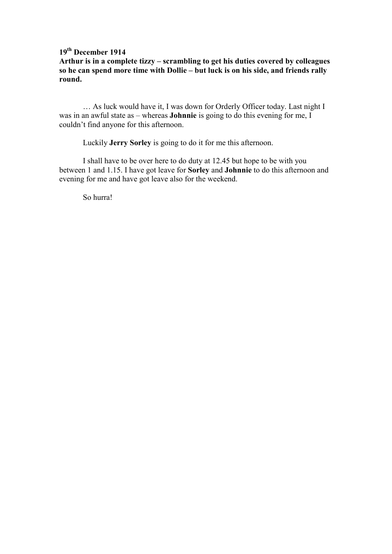## **19 th December 1914**

**Arthur is in a complete tizzy – scrambling to get his duties covered by colleagues so he can spend more time with Dollie – but luck is on his side, and friends rally round.** 

… As luck would have it, I was down for Orderly Officer today. Last night I was in an awful state as – whereas **Johnnie** is going to do this evening for me, I couldn't find anyone for this afternoon.

Luckily **Jerry Sorley** is going to do it for me this afternoon.

 I shall have to be over here to do duty at 12.45 but hope to be with you between 1 and 1.15. I have got leave for **Sorley** and **Johnnie** to do this afternoon and evening for me and have got leave also for the weekend.

So hurra!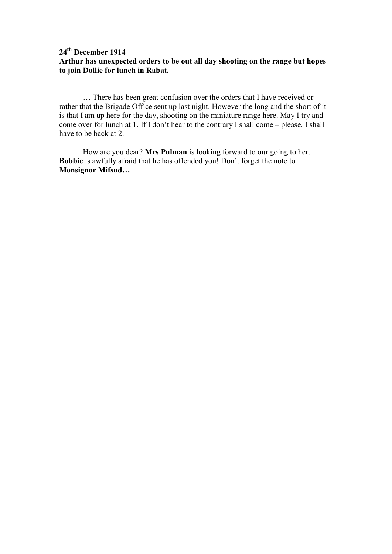### **24 th December 1914 Arthur has unexpected orders to be out all day shooting on the range but hopes to join Dollie for lunch in Rabat.**

 … There has been great confusion over the orders that I have received or rather that the Brigade Office sent up last night. However the long and the short of it is that I am up here for the day, shooting on the miniature range here. May I try and come over for lunch at 1. If I don't hear to the contrary I shall come – please. I shall have to be back at 2.

 How are you dear? **Mrs Pulman** is looking forward to our going to her. **Bobbie** is awfully afraid that he has offended you! Don't forget the note to **Monsignor Mifsud…**